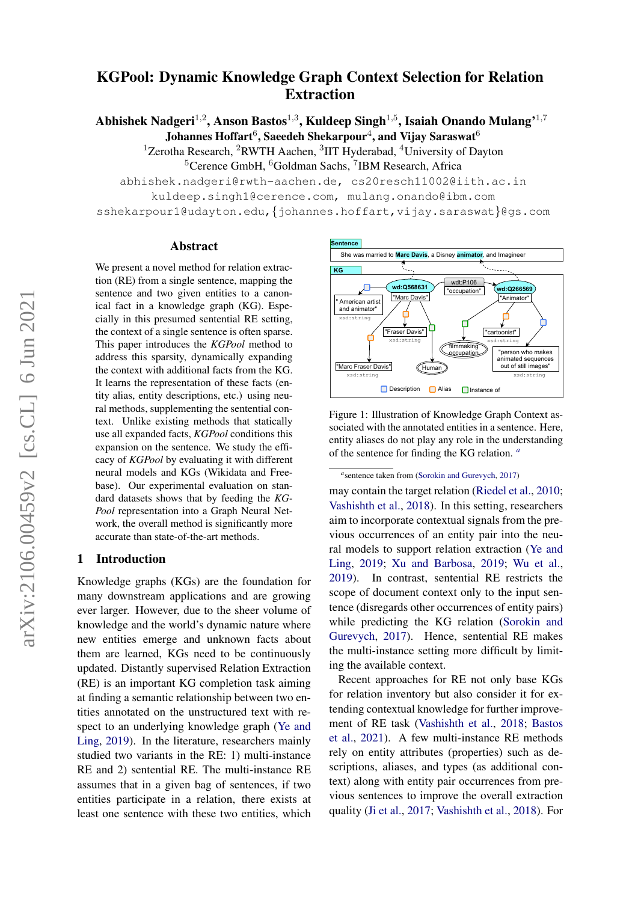# $arXiv:2106.00459v2$  [cs.CL] 6 Jun 2021 arXiv:2106.00459v2 [cs.CL] 6 Jun 2021

# KGPool: Dynamic Knowledge Graph Context Selection for Relation Extraction

Abhishek Nadgeri $^{1,2}$ , Anson Bastos $^{1,3}$ , Kuldeep Singh $^{1,5}$ , Isaiah Onando Mulang' $^{1,7}$ Johannes Hoffart $^6$ , Saeedeh Shekarpour $^4$ , and Vijay Saraswat $^6$ 

<sup>1</sup>Zerotha Research, <sup>2</sup>RWTH Aachen, <sup>3</sup>IIT Hyderabad, <sup>4</sup>University of Dayton

<sup>5</sup>Cerence GmbH, <sup>6</sup>Goldman Sachs, <sup>7</sup>IBM Research, Africa

abhishek.nadgeri@rwth-aachen.de, cs20resch11002@iith.ac.in

kuldeep.singh1@cerence.com, mulang.onando@ibm.com

sshekarpour1@udayton.edu,{johannes.hoffart,vijay.saraswat}@gs.com

#### Abstract

We present a novel method for relation extraction (RE) from a single sentence, mapping the sentence and two given entities to a canonical fact in a knowledge graph (KG). Especially in this presumed sentential RE setting, the context of a single sentence is often sparse. This paper introduces the *KGPool* method to address this sparsity, dynamically expanding the context with additional facts from the KG. It learns the representation of these facts (entity alias, entity descriptions, etc.) using neural methods, supplementing the sentential context. Unlike existing methods that statically use all expanded facts, *KGPool* conditions this expansion on the sentence. We study the efficacy of *KGPool* by evaluating it with different neural models and KGs (Wikidata and Freebase). Our experimental evaluation on standard datasets shows that by feeding the *KG-Pool* representation into a Graph Neural Network, the overall method is significantly more accurate than state-of-the-art methods.

# 1 Introduction

Knowledge graphs (KGs) are the foundation for many downstream applications and are growing ever larger. However, due to the sheer volume of knowledge and the world's dynamic nature where new entities emerge and unknown facts about them are learned, KGs need to be continuously updated. Distantly supervised Relation Extraction (RE) is an important KG completion task aiming at finding a semantic relationship between two entities annotated on the unstructured text with respect to an underlying knowledge graph [\(Ye and](#page-10-0) [Ling,](#page-10-0) [2019\)](#page-10-0). In the literature, researchers mainly studied two variants in the RE: 1) multi-instance RE and 2) sentential RE. The multi-instance RE assumes that in a given bag of sentences, if two entities participate in a relation, there exists at least one sentence with these two entities, which

<span id="page-0-1"></span>

Figure 1: Illustration of Knowledge Graph Context associated with the annotated entities in a sentence. Here, entity aliases do not play any role in the understanding of the sentence for finding the KG relation. *[a](#page-0-0)*

<span id="page-0-0"></span>*a* sentence taken from [\(Sorokin and Gurevych,](#page-10-1) [2017\)](#page-10-1)

may contain the target relation [\(Riedel et al.,](#page-10-2) [2010;](#page-10-2) [Vashishth et al.,](#page-10-3) [2018\)](#page-10-3). In this setting, researchers aim to incorporate contextual signals from the previous occurrences of an entity pair into the neural models to support relation extraction [\(Ye and](#page-10-0) [Ling,](#page-10-0) [2019;](#page-10-0) [Xu and Barbosa,](#page-10-4) [2019;](#page-10-4) [Wu et al.,](#page-10-5) [2019\)](#page-10-5). In contrast, sentential RE restricts the scope of document context only to the input sentence (disregards other occurrences of entity pairs) while predicting the KG relation [\(Sorokin and](#page-10-1) [Gurevych,](#page-10-1) [2017\)](#page-10-1). Hence, sentential RE makes the multi-instance setting more difficult by limiting the available context.

Recent approaches for RE not only base KGs for relation inventory but also consider it for extending contextual knowledge for further improvement of RE task [\(Vashishth et al.,](#page-10-3) [2018;](#page-10-3) [Bastos](#page-9-0) [et al.,](#page-9-0) [2021\)](#page-9-0). A few multi-instance RE methods rely on entity attributes (properties) such as descriptions, aliases, and types (as additional context) along with entity pair occurrences from previous sentences to improve the overall extraction quality [\(Ji et al.,](#page-9-1) [2017;](#page-9-1) [Vashishth et al.,](#page-10-3) [2018\)](#page-10-3). For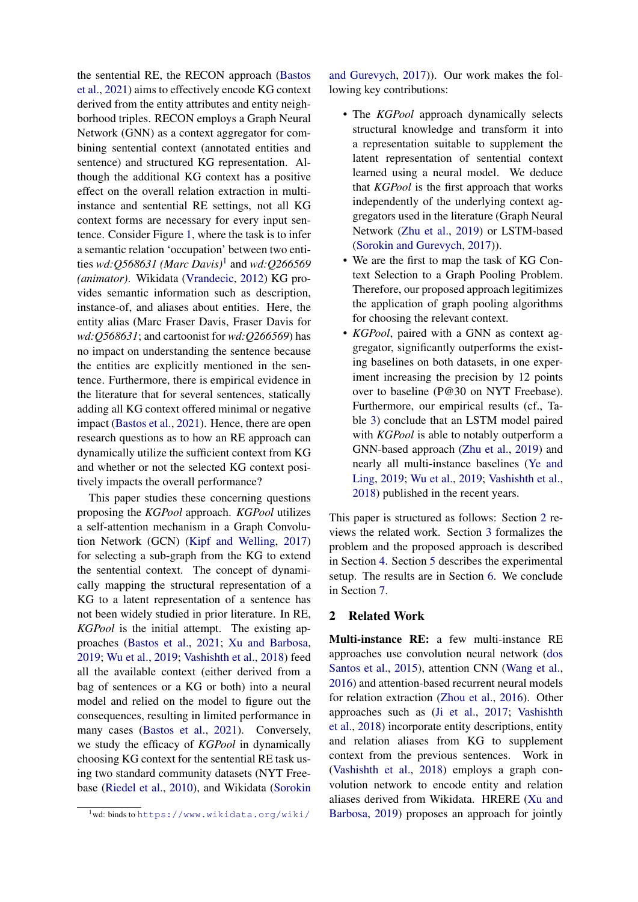the sentential RE, the RECON approach [\(Bastos](#page-9-0) [et al.,](#page-9-0) [2021\)](#page-9-0) aims to effectively encode KG context derived from the entity attributes and entity neighborhood triples. RECON employs a Graph Neural Network (GNN) as a context aggregator for combining sentential context (annotated entities and sentence) and structured KG representation. Although the additional KG context has a positive effect on the overall relation extraction in multiinstance and sentential RE settings, not all KG context forms are necessary for every input sentence. Consider Figure [1,](#page-0-1) where the task is to infer a semantic relation 'occupation' between two entities *wd:Q568631 (Marc Davis)*[1](#page-1-0) and *wd:Q266569 (animator)*. Wikidata [\(Vrandecic,](#page-10-6) [2012\)](#page-10-6) KG provides semantic information such as description, instance-of, and aliases about entities. Here, the entity alias (Marc Fraser Davis, Fraser Davis for *wd:Q568631*; and cartoonist for *wd:Q266569*) has no impact on understanding the sentence because the entities are explicitly mentioned in the sentence. Furthermore, there is empirical evidence in the literature that for several sentences, statically adding all KG context offered minimal or negative impact [\(Bastos et al.,](#page-9-0) [2021\)](#page-9-0). Hence, there are open research questions as to how an RE approach can dynamically utilize the sufficient context from KG and whether or not the selected KG context positively impacts the overall performance?

This paper studies these concerning questions proposing the *KGPool* approach. *KGPool* utilizes a self-attention mechanism in a Graph Convolution Network (GCN) [\(Kipf and Welling,](#page-9-2) [2017\)](#page-9-2) for selecting a sub-graph from the KG to extend the sentential context. The concept of dynamically mapping the structural representation of a KG to a latent representation of a sentence has not been widely studied in prior literature. In RE, *KGPool* is the initial attempt. The existing approaches [\(Bastos et al.,](#page-9-0) [2021;](#page-9-0) [Xu and Barbosa,](#page-10-4) [2019;](#page-10-4) [Wu et al.,](#page-10-5) [2019;](#page-10-5) [Vashishth et al.,](#page-10-3) [2018\)](#page-10-3) feed all the available context (either derived from a bag of sentences or a KG or both) into a neural model and relied on the model to figure out the consequences, resulting in limited performance in many cases [\(Bastos et al.,](#page-9-0) [2021\)](#page-9-0). Conversely, we study the efficacy of *KGPool* in dynamically choosing KG context for the sentential RE task using two standard community datasets (NYT Freebase [\(Riedel et al.,](#page-10-2) [2010\)](#page-10-2), and Wikidata [\(Sorokin](#page-10-1)

[and Gurevych,](#page-10-1) [2017\)](#page-10-1)). Our work makes the following key contributions:

- The *KGPool* approach dynamically selects structural knowledge and transform it into a representation suitable to supplement the latent representation of sentential context learned using a neural model. We deduce that *KGPool* is the first approach that works independently of the underlying context aggregators used in the literature (Graph Neural Network [\(Zhu et al.,](#page-11-0) [2019\)](#page-11-0) or LSTM-based [\(Sorokin and Gurevych,](#page-10-1) [2017\)](#page-10-1)).
- We are the first to map the task of KG Context Selection to a Graph Pooling Problem. Therefore, our proposed approach legitimizes the application of graph pooling algorithms for choosing the relevant context.
- *KGPool*, paired with a GNN as context aggregator, significantly outperforms the existing baselines on both datasets, in one experiment increasing the precision by 12 points over to baseline (P@30 on NYT Freebase). Furthermore, our empirical results (cf., Table [3\)](#page-6-0) conclude that an LSTM model paired with *KGPool* is able to notably outperform a GNN-based approach [\(Zhu et al.,](#page-11-0) [2019\)](#page-11-0) and nearly all multi-instance baselines [\(Ye and](#page-10-0) [Ling,](#page-10-0) [2019;](#page-10-0) [Wu et al.,](#page-10-5) [2019;](#page-10-5) [Vashishth et al.,](#page-10-3) [2018\)](#page-10-3) published in the recent years.

This paper is structured as follows: Section [2](#page-1-1) reviews the related work. Section [3](#page-2-0) formalizes the problem and the proposed approach is described in Section [4.](#page-2-1) Section [5](#page-5-0) describes the experimental setup. The results are in Section [6.](#page-6-1) We conclude in Section [7.](#page-8-0)

#### <span id="page-1-1"></span>2 Related Work

Multi-instance RE: a few multi-instance RE approaches use convolution neural network [\(dos](#page-10-7) [Santos et al.,](#page-10-7) [2015\)](#page-10-7), attention CNN [\(Wang et al.,](#page-10-8) [2016\)](#page-10-8) and attention-based recurrent neural models for relation extraction [\(Zhou et al.,](#page-11-1) [2016\)](#page-11-1). Other approaches such as [\(Ji et al.,](#page-9-1) [2017;](#page-9-1) [Vashishth](#page-10-3) [et al.,](#page-10-3) [2018\)](#page-10-3) incorporate entity descriptions, entity and relation aliases from KG to supplement context from the previous sentences. Work in [\(Vashishth et al.,](#page-10-3) [2018\)](#page-10-3) employs a graph convolution network to encode entity and relation aliases derived from Wikidata. HRERE [\(Xu and](#page-10-4) [Barbosa,](#page-10-4) [2019\)](#page-10-4) proposes an approach for jointly

<span id="page-1-0"></span><sup>1</sup>wd: binds to [https://www.wikidata.org/wiki/](#page-10-1)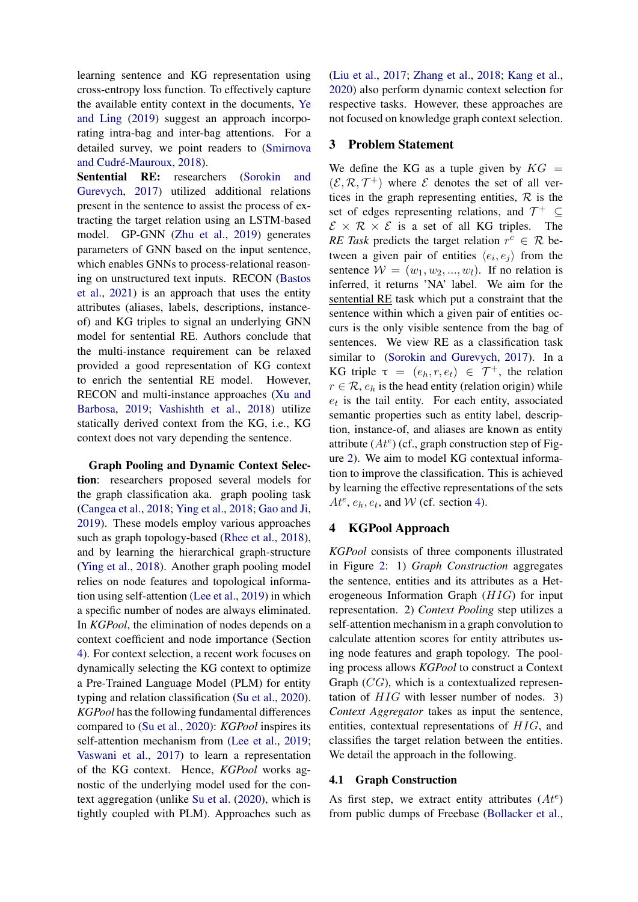learning sentence and KG representation using cross-entropy loss function. To effectively capture the available entity context in the documents, [Ye](#page-10-0) [and Ling](#page-10-0) [\(2019\)](#page-10-0) suggest an approach incorporating intra-bag and inter-bag attentions. For a detailed survey, we point readers to [\(Smirnova](#page-10-9) and Cudré-Mauroux, [2018\)](#page-10-9).

Sentential RE: researchers [\(Sorokin and](#page-10-1) [Gurevych,](#page-10-1) [2017\)](#page-10-1) utilized additional relations present in the sentence to assist the process of extracting the target relation using an LSTM-based model. GP-GNN [\(Zhu et al.,](#page-11-0) [2019\)](#page-11-0) generates parameters of GNN based on the input sentence, which enables GNNs to process-relational reasoning on unstructured text inputs. RECON [\(Bastos](#page-9-0) [et al.,](#page-9-0) [2021\)](#page-9-0) is an approach that uses the entity attributes (aliases, labels, descriptions, instanceof) and KG triples to signal an underlying GNN model for sentential RE. Authors conclude that the multi-instance requirement can be relaxed provided a good representation of KG context to enrich the sentential RE model. However, RECON and multi-instance approaches [\(Xu and](#page-10-4) [Barbosa,](#page-10-4) [2019;](#page-10-4) [Vashishth et al.,](#page-10-3) [2018\)](#page-10-3) utilize statically derived context from the KG, i.e., KG context does not vary depending the sentence.

Graph Pooling and Dynamic Context Selection: researchers proposed several models for the graph classification aka. graph pooling task [\(Cangea et al.,](#page-9-3) [2018;](#page-9-3) [Ying et al.,](#page-10-10) [2018;](#page-10-10) [Gao and Ji,](#page-9-4) [2019\)](#page-9-4). These models employ various approaches such as graph topology-based [\(Rhee et al.,](#page-10-11) [2018\)](#page-10-11), and by learning the hierarchical graph-structure [\(Ying et al.,](#page-10-10) [2018\)](#page-10-10). Another graph pooling model relies on node features and topological information using self-attention [\(Lee et al.,](#page-9-5) [2019\)](#page-9-5) in which a specific number of nodes are always eliminated. In *KGPool*, the elimination of nodes depends on a context coefficient and node importance (Section [4\)](#page-2-1). For context selection, a recent work focuses on dynamically selecting the KG context to optimize a Pre-Trained Language Model (PLM) for entity typing and relation classification [\(Su et al.,](#page-10-12) [2020\)](#page-10-12). *KGPool* has the following fundamental differences compared to [\(Su et al.,](#page-10-12) [2020\)](#page-10-12): *KGPool* inspires its self-attention mechanism from [\(Lee et al.,](#page-9-5) [2019;](#page-9-5) [Vaswani et al.,](#page-10-13) [2017\)](#page-10-13) to learn a representation of the KG context. Hence, *KGPool* works agnostic of the underlying model used for the context aggregation (unlike [Su et al.](#page-10-12) [\(2020\)](#page-10-12), which is tightly coupled with PLM). Approaches such as

[\(Liu et al.,](#page-9-6) [2017;](#page-9-6) [Zhang et al.,](#page-11-2) [2018;](#page-11-2) [Kang et al.,](#page-9-7) [2020\)](#page-9-7) also perform dynamic context selection for respective tasks. However, these approaches are not focused on knowledge graph context selection.

# <span id="page-2-0"></span>3 Problem Statement

We define the KG as a tuple given by  $KG =$  $(\mathcal{E}, \mathcal{R}, \mathcal{T}^+)$  where  $\mathcal E$  denotes the set of all vertices in the graph representing entities,  $\mathcal{R}$  is the set of edges representing relations, and  $\mathcal{T}^+ \subseteq$  $\mathcal{E} \times \mathcal{R} \times \mathcal{E}$  is a set of all KG triples. The *RE Task* predicts the target relation  $r^c \in \mathcal{R}$  between a given pair of entities  $\langle e_i, e_j \rangle$  from the sentence  $W = (w_1, w_2, ..., w_l)$ . If no relation is inferred, it returns 'NA' label. We aim for the sentential RE task which put a constraint that the sentence within which a given pair of entities occurs is the only visible sentence from the bag of sentences. We view RE as a classification task similar to [\(Sorokin and Gurevych,](#page-10-1) [2017\)](#page-10-1). In a KG triple  $\tau = (e_h, r, e_t) \in \mathcal{T}^+$ , the relation  $r \in \mathcal{R}$ ,  $e_h$  is the head entity (relation origin) while  $e_t$  is the tail entity. For each entity, associated semantic properties such as entity label, description, instance-of, and aliases are known as entity attribute  $(At<sup>e</sup>)$  (cf., graph construction step of Figure [2\)](#page-3-0). We aim to model KG contextual information to improve the classification. This is achieved by learning the effective representations of the sets  $At^e$ ,  $e_h$ ,  $e_t$ , and W (cf. section [4\)](#page-2-1).

# <span id="page-2-1"></span>4 KGPool Approach

*KGPool* consists of three components illustrated in Figure [2:](#page-3-0) 1) *Graph Construction* aggregates the sentence, entities and its attributes as a Heterogeneous Information Graph  $(HIG)$  for input representation. 2) *Context Pooling* step utilizes a self-attention mechanism in a graph convolution to calculate attention scores for entity attributes using node features and graph topology. The pooling process allows *KGPool* to construct a Context Graph  $(CG)$ , which is a contextualized representation of  $HIG$  with lesser number of nodes. 3) *Context Aggregator* takes as input the sentence, entities, contextual representations of HIG, and classifies the target relation between the entities. We detail the approach in the following.

# <span id="page-2-2"></span>4.1 Graph Construction

As first step, we extract entity attributes  $(At^e)$ from public dumps of Freebase [\(Bollacker et al.,](#page-9-8)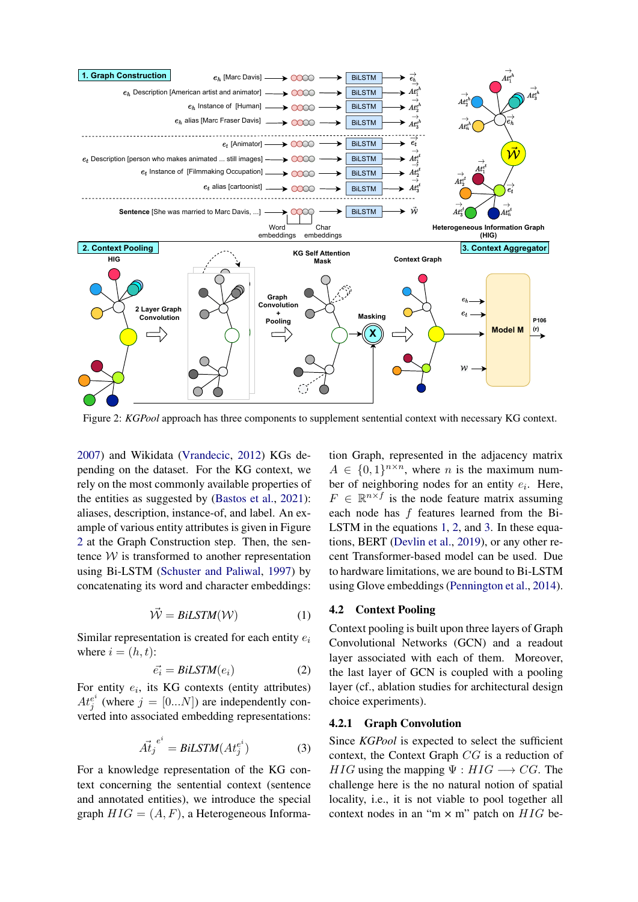<span id="page-3-0"></span>

Figure 2: *KGPool* approach has three components to supplement sentential context with necessary KG context.

[2007\)](#page-9-8) and Wikidata [\(Vrandecic,](#page-10-6) [2012\)](#page-10-6) KGs depending on the dataset. For the KG context, we rely on the most commonly available properties of the entities as suggested by [\(Bastos et al.,](#page-9-0) [2021\)](#page-9-0): aliases, description, instance-of, and label. An example of various entity attributes is given in Figure [2](#page-3-0) at the Graph Construction step. Then, the sentence  $W$  is transformed to another representation using Bi-LSTM [\(Schuster and Paliwal,](#page-10-14) [1997\)](#page-10-14) by concatenating its word and character embeddings:

$$
\vec{\mathcal{W}} = BiLSTM(\mathcal{W})
$$
 (1)

<span id="page-3-1"></span>Similar representation is created for each entity  $e_i$ where  $i = (h, t)$ :

<span id="page-3-2"></span>
$$
\vec{e_i} = BiLSTM(e_i) \tag{2}
$$

<span id="page-3-3"></span>For entity  $e_i$ , its KG contexts (entity attributes)  $At_i^{e^i}$  $j^{e^i}$  (where  $j = [0...N]$ ) are independently converted into associated embedding representations:

$$
\vec{At_j}^{e^i} = BiLSTM(At_j^{e^i})
$$
 (3)

For a knowledge representation of the KG context concerning the sentential context (sentence and annotated entities), we introduce the special graph  $HIG = (A, F)$ , a Heterogeneous Information Graph, represented in the adjacency matrix  $A \in \{0,1\}^{n \times n}$ , where *n* is the maximum number of neighboring nodes for an entity  $e_i$ . Here,  $F \in \mathbb{R}^{n \times f}$  is the node feature matrix assuming each node has f features learned from the Bi-LSTM in the equations [1,](#page-3-1) [2,](#page-3-2) and [3.](#page-3-3) In these equations, BERT [\(Devlin et al.,](#page-9-9) [2019\)](#page-9-9), or any other recent Transformer-based model can be used. Due to hardware limitations, we are bound to Bi-LSTM using Glove embeddings [\(Pennington et al.,](#page-9-10) [2014\)](#page-9-10).

#### <span id="page-3-4"></span>4.2 Context Pooling

Context pooling is built upon three layers of Graph Convolutional Networks (GCN) and a readout layer associated with each of them. Moreover, the last layer of GCN is coupled with a pooling layer (cf., ablation studies for architectural design choice experiments).

#### 4.2.1 Graph Convolution

Since *KGPool* is expected to select the sufficient context, the Context Graph CG is a reduction of  $HIG$  using the mapping  $\Psi : HIG \longrightarrow CG$ . The challenge here is the no natural notion of spatial locality, i.e., it is not viable to pool together all context nodes in an "m  $\times$  m" patch on  $HIG$  be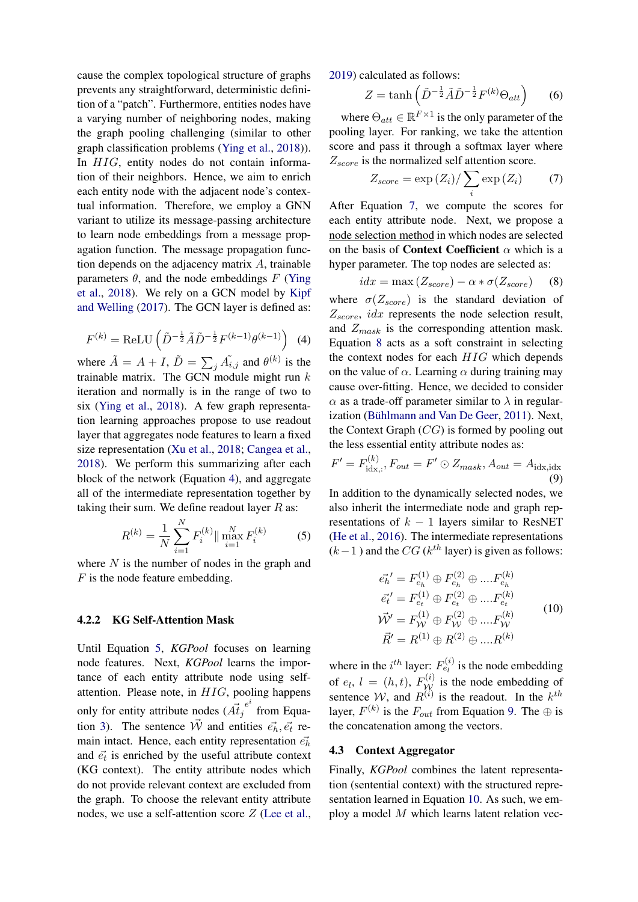cause the complex topological structure of graphs prevents any straightforward, deterministic definition of a "patch". Furthermore, entities nodes have a varying number of neighboring nodes, making the graph pooling challenging (similar to other graph classification problems [\(Ying et al.,](#page-10-10) [2018\)](#page-10-10)). In HIG, entity nodes do not contain information of their neighbors. Hence, we aim to enrich each entity node with the adjacent node's contextual information. Therefore, we employ a GNN variant to utilize its message-passing architecture to learn node embeddings from a message propagation function. The message propagation function depends on the adjacency matrix  $A$ , trainable parameters  $\theta$ , and the node embeddings F [\(Ying](#page-10-10)) [et al.,](#page-10-10) [2018\)](#page-10-10). We rely on a GCN model by [Kipf](#page-9-2) [and Welling](#page-9-2) [\(2017\)](#page-9-2). The GCN layer is defined as:

<span id="page-4-0"></span>
$$
F^{(k)} = \text{ReLU}\left(\tilde{D}^{-\frac{1}{2}}\tilde{A}\tilde{D}^{-\frac{1}{2}}F^{(k-1)}\theta^{(k-1)}\right) \tag{4}
$$

where  $\tilde{A} = A + I$ ,  $\tilde{D} = \sum_{j} \tilde{A}_{i,j}$  and  $\theta^{(k)}$  is the trainable matrix. The GCN module might run  $k$ iteration and normally is in the range of two to six [\(Ying et al.,](#page-10-10) [2018\)](#page-10-10). A few graph representation learning approaches propose to use readout layer that aggregates node features to learn a fixed size representation [\(Xu et al.,](#page-10-15) [2018;](#page-10-15) [Cangea et al.,](#page-9-3) [2018\)](#page-9-3). We perform this summarizing after each block of the network (Equation [4\)](#page-4-0), and aggregate all of the intermediate representation together by taking their sum. We define readout layer  $R$  as:

$$
R^{(k)} = \frac{1}{N} \sum_{i=1}^{N} F_i^{(k)} \|\max_{i=1}^{N} F_i^{(k)} \tag{5}
$$

where  $N$  is the number of nodes in the graph and  $F$  is the node feature embedding.

#### 4.2.2 KG Self-Attention Mask

Until Equation [5,](#page-4-1) *KGPool* focuses on learning node features. Next, *KGPool* learns the importance of each entity attribute node using selfattention. Please note, in HIG, pooling happens only for entity attribute nodes  $(\vec{At}_j)$  $e^i$  from Equa-tion [3\)](#page-3-3). The sentence  $\vec{W}$  and entities  $\vec{e_h}, \vec{e_t}$  remain intact. Hence, each entity representation  $\vec{e_h}$ and  $\vec{e}_t$  is enriched by the useful attribute context (KG context). The entity attribute nodes which do not provide relevant context are excluded from the graph. To choose the relevant entity attribute nodes, we use a self-attention score Z [\(Lee et al.,](#page-9-5)

[2019\)](#page-9-5) calculated as follows:

$$
Z = \tanh\left(\tilde{D}^{-\frac{1}{2}}\tilde{A}\tilde{D}^{-\frac{1}{2}}F^{(k)}\Theta_{att}\right) \tag{6}
$$

where  $\Theta_{att} \in \mathbb{R}^{F \times 1}$  is the only parameter of the pooling layer. For ranking, we take the attention score and pass it through a softmax layer where  $Z_{score}$  is the normalized self attention score.

<span id="page-4-2"></span>
$$
Z_{score} = \exp\left(Z_i\right) / \sum_i \exp\left(Z_i\right) \tag{7}
$$

After Equation [7,](#page-4-2) we compute the scores for each entity attribute node. Next, we propose a node selection method in which nodes are selected on the basis of **Context Coefficient**  $\alpha$  which is a hyper parameter. The top nodes are selected as:

<span id="page-4-3"></span>
$$
idx = \max(Z_{score}) - \alpha * \sigma(Z_{score}) \quad (8)
$$

where  $\sigma(Z_{score})$  is the standard deviation of  $Z_{score}$ , *idx* represents the node selection result, and  $Z_{mask}$  is the corresponding attention mask. Equation [8](#page-4-3) acts as a soft constraint in selecting the context nodes for each  $HIG$  which depends on the value of  $\alpha$ . Learning  $\alpha$  during training may cause over-fitting. Hence, we decided to consider  $\alpha$  as a trade-off parameter similar to  $\lambda$  in regular-ization (Bühlmann and Van De Geer, [2011\)](#page-9-11). Next, the Context Graph  $(CG)$  is formed by pooling out the less essential entity attribute nodes as:

<span id="page-4-4"></span>
$$
F' = F_{\text{idx},:}^{(k)}, F_{out} = F' \odot Z_{mask}, A_{out} = A_{\text{idx},:} \tag{9}
$$

<span id="page-4-1"></span>In addition to the dynamically selected nodes, we also inherit the intermediate node and graph representations of  $k - 1$  layers similar to ResNET [\(He et al.,](#page-9-12) [2016\)](#page-9-12). The intermediate representations  $(k-1)$  and the CG ( $k^{th}$  layer) is given as follows:

<span id="page-4-5"></span>
$$
\vec{e_h}^{\prime} = F_{e_h}^{(1)} \oplus F_{e_h}^{(2)} \oplus ....F_{e_h}^{(k)}
$$
\n
$$
\vec{e_t}^{\prime} = F_{e_t}^{(1)} \oplus F_{e_t}^{(2)} \oplus ....F_{e_t}^{(k)}
$$
\n
$$
\vec{W}^{\prime} = F_{\mathcal{W}}^{(1)} \oplus F_{\mathcal{W}}^{(2)} \oplus ....F_{\mathcal{W}}^{(k)}
$$
\n
$$
\vec{R}^{\prime} = R^{(1)} \oplus R^{(2)} \oplus ....R^{(k)}
$$
\n(10)

where in the  $i^{th}$  layer:  $F_{e_l}^{(i)}$  is the node embedding of  $e_l$ ,  $l = (h, t)$ ,  $F_{\mathcal{W}}^{(i)}$  is the node embedding of sentence W, and  $R^{(i)}$  is the readout. In the  $k^{th}$ layer,  $F^{(k)}$  is the  $F_{out}$  from Equation [9.](#page-4-4) The  $\oplus$  is the concatenation among the vectors.

#### 4.3 Context Aggregator

Finally, *KGPool* combines the latent representation (sentential context) with the structured representation learned in Equation [10.](#page-4-5) As such, we employ a model  $M$  which learns latent relation vec-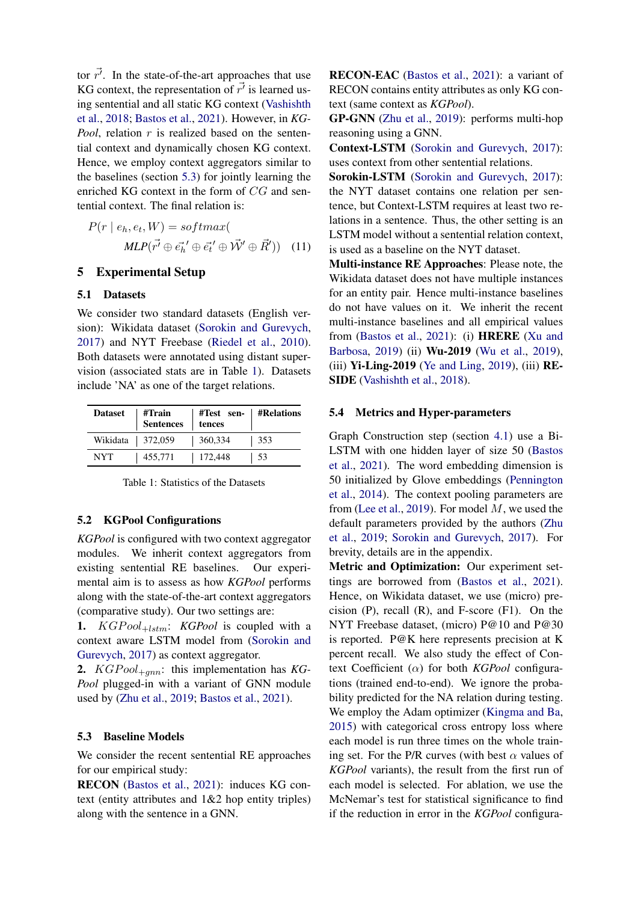tor  $\vec{r'}$ . In the state-of-the-art approaches that use KG context, the representation of  $\vec{r'}$  is learned using sentential and all static KG context [\(Vashishth](#page-10-3) [et al.,](#page-10-3) [2018;](#page-10-3) [Bastos et al.,](#page-9-0) [2021\)](#page-9-0). However, in *KG-Pool*, relation r is realized based on the sentential context and dynamically chosen KG context. Hence, we employ context aggregators similar to the baselines (section [5.3\)](#page-5-1) for jointly learning the enriched KG context in the form of CG and sentential context. The final relation is:

$$
P(r \mid e_h, e_t, W) = softmax(\n\quad MLP(\vec{r'} \oplus \vec{e_h'} \oplus \vec{e_t'} \oplus \vec{W'} \oplus \vec{R}')) \quad (11)
$$

# <span id="page-5-0"></span>5 Experimental Setup

#### 5.1 Datasets

We consider two standard datasets (English version): Wikidata dataset [\(Sorokin and Gurevych,](#page-10-1) [2017\)](#page-10-1) and NYT Freebase [\(Riedel et al.,](#page-10-2) [2010\)](#page-10-2). Both datasets were annotated using distant supervision (associated stats are in Table [1\)](#page-5-2). Datasets include 'NA' as one of the target relations.

<span id="page-5-2"></span>

| <b>Dataset</b>     | #Train<br>Sentences | #Test sen-   #Relations<br>tences |      |
|--------------------|---------------------|-----------------------------------|------|
| Wikidata   372,059 |                     | 360,334                           | 353  |
| NYT.               | 455,771             | 172,448                           | - 53 |

# 5.2 KGPool Configurations

*KGPool* is configured with two context aggregator modules. We inherit context aggregators from existing sentential RE baselines. Our experimental aim is to assess as how *KGPool* performs along with the state-of-the-art context aggregators (comparative study). Our two settings are:

1.  $KGPool_{+lstm}$ : *KGPool* is coupled with a context aware LSTM model from [\(Sorokin and](#page-10-1) [Gurevych,](#page-10-1) [2017\)](#page-10-1) as context aggregator.

2. *KGP* ool<sub>+ann</sub>: this implementation has *KG*-*Pool* plugged-in with a variant of GNN module used by [\(Zhu et al.,](#page-11-0) [2019;](#page-11-0) [Bastos et al.,](#page-9-0) [2021\)](#page-9-0).

# <span id="page-5-1"></span>5.3 Baseline Models

We consider the recent sentential RE approaches for our empirical study:

RECON [\(Bastos et al.,](#page-9-0) [2021\)](#page-9-0): induces KG context (entity attributes and 1&2 hop entity triples) along with the sentence in a GNN.

RECON-EAC [\(Bastos et al.,](#page-9-0) [2021\)](#page-9-0): a variant of RECON contains entity attributes as only KG context (same context as *KGPool*).

GP-GNN [\(Zhu et al.,](#page-11-0) [2019\)](#page-11-0): performs multi-hop reasoning using a GNN.

Context-LSTM [\(Sorokin and Gurevych,](#page-10-1) [2017\)](#page-10-1): uses context from other sentential relations.

Sorokin-LSTM [\(Sorokin and Gurevych,](#page-10-1) [2017\)](#page-10-1): the NYT dataset contains one relation per sentence, but Context-LSTM requires at least two relations in a sentence. Thus, the other setting is an LSTM model without a sentential relation context, is used as a baseline on the NYT dataset.

Multi-instance RE Approaches: Please note, the Wikidata dataset does not have multiple instances for an entity pair. Hence multi-instance baselines do not have values on it. We inherit the recent multi-instance baselines and all empirical values from [\(Bastos et al.,](#page-9-0) [2021\)](#page-9-0): (i) HRERE [\(Xu and](#page-10-4) [Barbosa,](#page-10-4) [2019\)](#page-10-4) (ii) Wu-2019 [\(Wu et al.,](#page-10-5) [2019\)](#page-10-5), (iii)  $Yi$ -Ling-2019 [\(Ye and Ling,](#page-10-0) [2019\)](#page-10-0), (iii) RE-SIDE [\(Vashishth et al.,](#page-10-3) [2018\)](#page-10-3).

#### 5.4 Metrics and Hyper-parameters

Graph Construction step (section [4.1\)](#page-2-2) use a Bi-LSTM with one hidden layer of size 50 [\(Bastos](#page-9-0) [et al.,](#page-9-0) [2021\)](#page-9-0). The word embedding dimension is 50 initialized by Glove embeddings [\(Pennington](#page-9-10) [et al.,](#page-9-10) [2014\)](#page-9-10). The context pooling parameters are from [\(Lee et al.,](#page-9-5) [2019\)](#page-9-5). For model  $M$ , we used the default parameters provided by the authors [\(Zhu](#page-11-0) [et al.,](#page-11-0) [2019;](#page-11-0) [Sorokin and Gurevych,](#page-10-1) [2017\)](#page-10-1). For brevity, details are in the appendix.

Metric and Optimization: Our experiment settings are borrowed from [\(Bastos et al.,](#page-9-0) [2021\)](#page-9-0). Hence, on Wikidata dataset, we use (micro) precision  $(P)$ , recall  $(R)$ , and F-score  $(F1)$ . On the NYT Freebase dataset, (micro) P@10 and P@30 is reported. P@K here represents precision at K percent recall. We also study the effect of Context Coefficient (α) for both *KGPool* configurations (trained end-to-end). We ignore the probability predicted for the NA relation during testing. We employ the Adam optimizer [\(Kingma and Ba,](#page-9-13) [2015\)](#page-9-13) with categorical cross entropy loss where each model is run three times on the whole training set. For the P/R curves (with best  $\alpha$  values of *KGPool* variants), the result from the first run of each model is selected. For ablation, we use the McNemar's test for statistical significance to find if the reduction in error in the *KGPool* configura-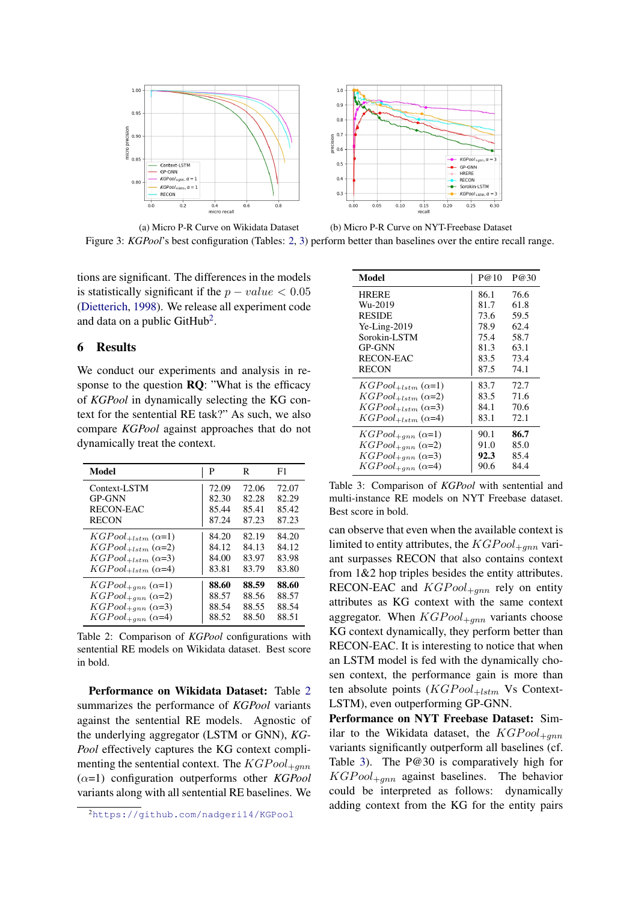<span id="page-6-4"></span>



(a) Micro P-R Curve on Wikidata Dataset Figure 3: *KGPool*'s best configuration (Tables: [2,](#page-6-2) [3\)](#page-6-0) perform better than baselines over the entire recall range.

tions are significant. The differences in the models is statistically significant if the  $p - value < 0.05$ [\(Dietterich,](#page-9-14) [1998\)](#page-9-14). We release all experiment code and data on a public GitHub<sup>[2](#page-6-3)</sup>.

# <span id="page-6-1"></span>6 Results

We conduct our experiments and analysis in response to the question  $\mathbf{RQ}$ : "What is the efficacy of *KGPool* in dynamically selecting the KG context for the sentential RE task?" As such, we also compare *KGPool* against approaches that do not dynamically treat the context.

<span id="page-6-2"></span>

| Model                       | P     | R     | F1    |
|-----------------------------|-------|-------|-------|
| Context-LSTM                | 72.09 | 72.06 | 72.07 |
| <b>GP-GNN</b>               | 82.30 | 82.28 | 82.29 |
| RECON-EAC                   | 85.44 | 85.41 | 85.42 |
| <b>RECON</b>                | 87.24 | 87.23 | 87.23 |
| $KGPool_{+lstm} (\alpha=1)$ | 84.20 | 82.19 | 84.20 |
| $KGPool_{+lstm} (\alpha=2)$ | 84.12 | 84.13 | 84.12 |
| $KGPool_{+lstm} (\alpha=3)$ | 84.00 | 83.97 | 83.98 |
| $KGPool_{+lstm} (\alpha=4)$ | 83.81 | 83.79 | 83.80 |
| $KGPool_{+gnn} (\alpha=1)$  | 88.60 | 88.59 | 88.60 |
| $KGPool_{+gnn} (\alpha=2)$  | 88.57 | 88.56 | 88.57 |
| $KGPool_{+gnn} (\alpha=3)$  | 88.54 | 88.55 | 88.54 |
| $KGPool_{+gnn} (\alpha=4)$  | 88.52 | 88.50 | 88.51 |

Table 2: Comparison of *KGPool* configurations with sentential RE models on Wikidata dataset. Best score in bold.

Performance on Wikidata Dataset: Table [2](#page-6-2) summarizes the performance of *KGPool* variants against the sentential RE models. Agnostic of the underlying aggregator (LSTM or GNN), *KG-Pool* effectively captures the KG context complimenting the sentential context. The  $KGPool_{+qnn}$ (α=1) configuration outperforms other *KGPool* variants along with all sentential RE baselines. We

| (b) Micro P-R Curve on NYT-Freebase Dataset |  |
|---------------------------------------------|--|
|---------------------------------------------|--|

<span id="page-6-0"></span>

| <b>Model</b>                | P@10 | P@30 |
|-----------------------------|------|------|
| <b>HRERE</b>                | 86.1 | 76.6 |
| Wu-2019                     | 81.7 | 61.8 |
| <b>RESIDE</b>               | 73.6 | 59.5 |
| $Ye-Ling-2019$              | 78.9 | 62.4 |
| Sorokin-LSTM                | 75.4 | 58.7 |
| <b>GP-GNN</b>               | 81.3 | 63.1 |
| <b>RECON-EAC</b>            | 83.5 | 73.4 |
| <b>RECON</b>                | 87.5 | 74.1 |
| $KGPool_{+lstm} (\alpha=1)$ | 83.7 | 72.7 |
| $KGPool_{+lstm} (\alpha=2)$ | 83.5 | 71.6 |
| $KGPool_{+lstm} (\alpha=3)$ | 84.1 | 70.6 |
| $KGPool_{+lstm} (\alpha=4)$ | 83.1 | 72.1 |
| $KGPool_{+gnn} (\alpha=1)$  | 90.1 | 86.7 |
| $KGPool_{+gnn} (\alpha=2)$  | 91.0 | 85.0 |
| $KGPool_{+mn} (\alpha=3)$   | 92.3 | 85.4 |
| $KGPool_{+ann} (\alpha=4)$  | 90.6 | 84.4 |

Table 3: Comparison of *KGPool* with sentential and multi-instance RE models on NYT Freebase dataset. Best score in bold.

can observe that even when the available context is limited to entity attributes, the  $KGPool_{+mn}$  variant surpasses RECON that also contains context from 1&2 hop triples besides the entity attributes. RECON-EAC and  $KGPool_{+mn}$  rely on entity attributes as KG context with the same context aggregator. When  $KGPool_{+gnn}$  variants choose KG context dynamically, they perform better than RECON-EAC. It is interesting to notice that when an LSTM model is fed with the dynamically chosen context, the performance gain is more than ten absolute points  $(KGPool_{+lstm}$  Vs Context-LSTM), even outperforming GP-GNN.

Performance on NYT Freebase Dataset: Similar to the Wikidata dataset, the  $KGP_{\text{ool}_{\pm \text{ann}}}$ variants significantly outperform all baselines (cf. Table [3\)](#page-6-0). The P@30 is comparatively high for  $KGPool_{+qnn}$  against baselines. The behavior could be interpreted as follows: dynamically adding context from the KG for the entity pairs

<span id="page-6-3"></span><sup>2</sup><https://github.com/nadgeri14/KGPool>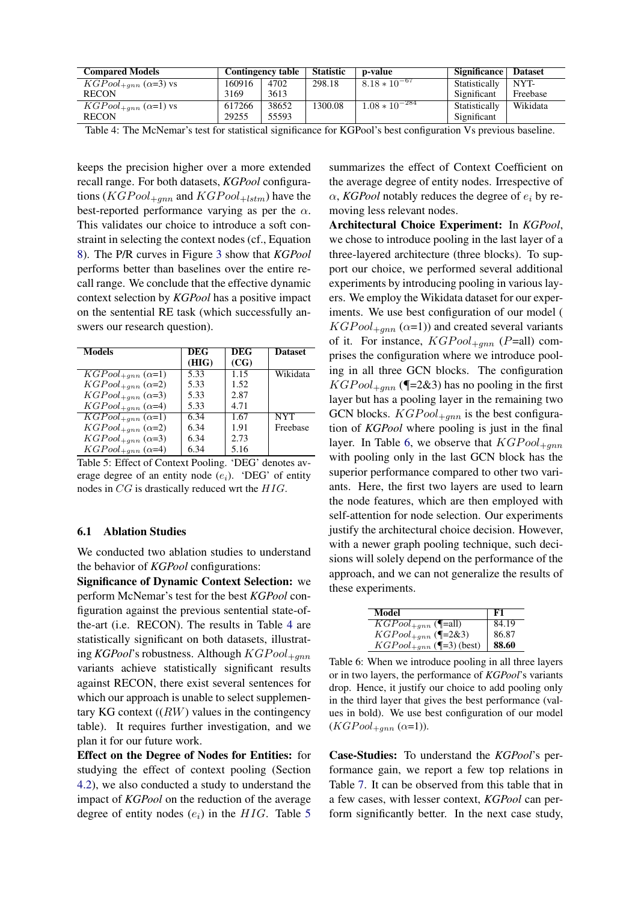<span id="page-7-0"></span>

| <b>Compared Models</b>        |        | Contingency table | <b>Statistic</b> | p-value            | Significance  | <b>Dataset</b> |
|-------------------------------|--------|-------------------|------------------|--------------------|---------------|----------------|
| $KGPool_{+gnn} (\alpha=3)$ vs | 160916 | 4702              | 298.18           | $8.18 * 10^{-67}$  | Statistically | NYT-           |
| <b>RECON</b>                  | 3169   | 3613              |                  |                    | Significant   | Freebase       |
| $KGPool_{+ann} (\alpha=1)$ vs | 617266 | 38652             | 1300.08          | $1.08 * 10^{-284}$ | Statistically | Wikidata       |
| <b>RECON</b>                  | 29255  | 55593             |                  |                    | Significant   |                |

Table 4: The McNemar's test for statistical significance for KGPool's best configuration Vs previous baseline.

keeps the precision higher over a more extended recall range. For both datasets, *KGPool* configurations ( $KGPool_{+qnn}$  and  $KGPool_{+lstm}$ ) have the best-reported performance varying as per the  $\alpha$ . This validates our choice to introduce a soft constraint in selecting the context nodes (cf., Equation [8\)](#page-4-3). The P/R curves in Figure [3](#page-6-4) show that *KGPool* performs better than baselines over the entire recall range. We conclude that the effective dynamic context selection by *KGPool* has a positive impact on the sentential RE task (which successfully answers our research question).

<span id="page-7-1"></span>

| <b>Models</b>                                | <b>DEG</b> | <b>DEG</b> | <b>Dataset</b> |
|----------------------------------------------|------------|------------|----------------|
|                                              | (HIG)      | (CG)       |                |
| $\overline{KGPool}_{\pm gnn}$ ( $\alpha=1$ ) | 5.33       | 1.15       | Wikidata       |
| $KGPool_{\pm qnn} (\alpha=2)$                | 5.33       | 1.52       |                |
| $KGPool_{+gnn} (\alpha=3)$                   | 5.33       | 2.87       |                |
| $KGPool_{+gnn} (\alpha=4)$                   | 5.33       | 4.71       |                |
| $\overline{KGPool_{+gnn}}$ ( $\alpha=1$ )    | 6.34       | 1.67       | <b>NYT</b>     |
| $KGPool_{+qnn} (\alpha=2)$                   | 6.34       | 1.91       | Freebase       |
| $KGPool_{+gnn} (\alpha=3)$                   | 6.34       | 2.73       |                |
| $KGPool_{+gnn} (\alpha=4)$                   | 6.34       | 5.16       |                |

Table 5: Effect of Context Pooling. 'DEG' denotes average degree of an entity node  $(e_i)$ . 'DEG' of entity nodes in CG is drastically reduced wrt the HIG.

# 6.1 Ablation Studies

We conducted two ablation studies to understand the behavior of *KGPool* configurations:

Significance of Dynamic Context Selection: we perform McNemar's test for the best *KGPool* configuration against the previous sentential state-ofthe-art (i.e. RECON). The results in Table [4](#page-7-0) are statistically significant on both datasets, illustrating *KGPool*'s robustness. Although  $KGPool_{+gnn}$ variants achieve statistically significant results against RECON, there exist several sentences for which our approach is unable to select supplementary KG context  $((RW)$  values in the contingency table). It requires further investigation, and we plan it for our future work.

Effect on the Degree of Nodes for Entities: for studying the effect of context pooling (Section [4.2\)](#page-3-4), we also conducted a study to understand the impact of *KGPool* on the reduction of the average degree of entity nodes  $(e_i)$  in the HIG. Table [5](#page-7-1)

summarizes the effect of Context Coefficient on the average degree of entity nodes. Irrespective of  $\alpha$ , *KGPool* notably reduces the degree of  $e_i$  by removing less relevant nodes.

Architectural Choice Experiment: In *KGPool*, we chose to introduce pooling in the last layer of a three-layered architecture (three blocks). To support our choice, we performed several additional experiments by introducing pooling in various layers. We employ the Wikidata dataset for our experiments. We use best configuration of our model (  $KGPool_{+gnn} (\alpha=1)$ ) and created several variants of it. For instance,  $KGPool_{+qnn}$  (P=all) comprises the configuration where we introduce pooling in all three GCN blocks. The configuration  $KGPool_{+qnn}$  (¶=2&3) has no pooling in the first layer but has a pooling layer in the remaining two GCN blocks.  $KGPool_{+qnn}$  is the best configuration of *KGPool* where pooling is just in the final layer. In Table [6,](#page-7-2) we observe that  $KGPool_{+gnn}$ with pooling only in the last GCN block has the superior performance compared to other two variants. Here, the first two layers are used to learn the node features, which are then employed with self-attention for node selection. Our experiments justify the architectural choice decision. However, with a newer graph pooling technique, such decisions will solely depend on the performance of the approach, and we can not generalize the results of these experiments.

<span id="page-7-2"></span>

| Model                        | F1    |
|------------------------------|-------|
| $KGPool_{+gnn}$ (¶=all)      | 84.19 |
| $KGPool_{+gnn}$ (¶=2&3)      | 86.87 |
| $KGPool_{+gnn}$ (¶=3) (best) | 88.60 |

Table 6: When we introduce pooling in all three layers or in two layers, the performance of *KGPool*'s variants drop. Hence, it justify our choice to add pooling only in the third layer that gives the best performance (values in bold). We use best configuration of our model  $(KGPool_{+gnn} (\alpha=1)).$ 

Case-Studies: To understand the *KGPool*'s performance gain, we report a few top relations in Table [7.](#page-8-1) It can be observed from this table that in a few cases, with lesser context, *KGPool* can perform significantly better. In the next case study,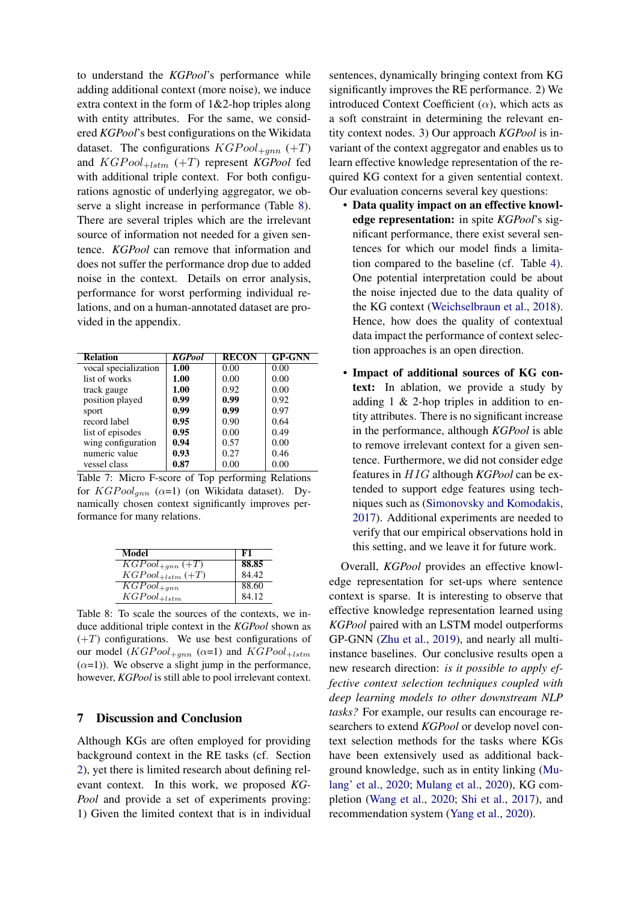to understand the *KGPool*'s performance while adding additional context (more noise), we induce extra context in the form of 1&2-hop triples along with entity attributes. For the same, we considered *KGPool*'s best configurations on the Wikidata dataset. The configurations  $KGPool_{+qnn} (+T)$ and  $KGPool_{+lstm} (+T)$  represent *KGPool* fed with additional triple context. For both configurations agnostic of underlying aggregator, we observe a slight increase in performance (Table [8\)](#page-8-2). There are several triples which are the irrelevant source of information not needed for a given sentence. *KGPool* can remove that information and does not suffer the performance drop due to added noise in the context. Details on error analysis, performance for worst performing individual relations, and on a human-annotated dataset are provided in the appendix.

<span id="page-8-1"></span>

| <b>Relation</b>      | <b>KGPool</b> | <b>RECON</b> | <b>GP-GNN</b> |
|----------------------|---------------|--------------|---------------|
| vocal specialization | 1.00          | 0.00         | 0.00          |
| list of works        | 1.00          | 0.00         | 0.00          |
| track gauge          | 1.00          | 0.92         | 0.00          |
| position played      | 0.99          | 0.99         | 0.92          |
| sport                | 0.99          | 0.99         | 0.97          |
| record label         | 0.95          | 0.90         | 0.64          |
| list of episodes     | 0.95          | 0.00         | 0.49          |
| wing configuration   | 0.94          | 0.57         | 0.00          |
| numeric value        | 0.93          | 0.27         | 0.46          |
| vessel class         | 0.87          | 0.00         | 0.00          |

Table 7: Micro F-score of Top performing Relations for  $KGP$  ool<sub>gnn</sub> ( $\alpha$ =1) (on Wikidata dataset). Dynamically chosen context significantly improves performance for many relations.

<span id="page-8-2"></span>

| Model                                | F1    |
|--------------------------------------|-------|
| $\overline{KGPool_{+gnn}}$ (+T)      | 88.85 |
| $KGPool_{+lstm} (+T)$                | 84.42 |
| $\overline{KGP}$ ool <sub>+gnn</sub> | 88.60 |
| $KGPool_{+lstm}$                     | 84.12 |

Table 8: To scale the sources of the contexts, we induce additional triple context in the *KGPool* shown as  $(+T)$  configurations. We use best configurations of our model  $(KGPool_{+gnn}$  ( $\alpha=1$ ) and  $KGPool_{+lstm}$  $(\alpha=1)$ ). We observe a slight jump in the performance, however, *KGPool* is still able to pool irrelevant context.

# <span id="page-8-0"></span>7 Discussion and Conclusion

Although KGs are often employed for providing background context in the RE tasks (cf. Section [2\)](#page-1-1), yet there is limited research about defining relevant context. In this work, we proposed *KG-Pool* and provide a set of experiments proving: 1) Given the limited context that is in individual

sentences, dynamically bringing context from KG significantly improves the RE performance. 2) We introduced Context Coefficient  $(\alpha)$ , which acts as a soft constraint in determining the relevant entity context nodes. 3) Our approach *KGPool* is invariant of the context aggregator and enables us to learn effective knowledge representation of the required KG context for a given sentential context. Our evaluation concerns several key questions:

- Data quality impact on an effective knowledge representation: in spite *KGPool*'s significant performance, there exist several sentences for which our model finds a limitation compared to the baseline (cf. Table [4\)](#page-7-0). One potential interpretation could be about the noise injected due to the data quality of the KG context [\(Weichselbraun et al.,](#page-10-16) [2018\)](#page-10-16). Hence, how does the quality of contextual data impact the performance of context selection approaches is an open direction.
- Impact of additional sources of KG context: In ablation, we provide a study by adding 1 & 2-hop triples in addition to entity attributes. There is no significant increase in the performance, although *KGPool* is able to remove irrelevant context for a given sentence. Furthermore, we did not consider edge features in HIG although *KGPool* can be extended to support edge features using techniques such as [\(Simonovsky and Komodakis,](#page-10-17) [2017\)](#page-10-17). Additional experiments are needed to verify that our empirical observations hold in this setting, and we leave it for future work.

Overall, *KGPool* provides an effective knowledge representation for set-ups where sentence context is sparse. It is interesting to observe that effective knowledge representation learned using *KGPool* paired with an LSTM model outperforms GP-GNN [\(Zhu et al.,](#page-11-0) [2019\)](#page-11-0), and nearly all multiinstance baselines. Our conclusive results open a new research direction: *is it possible to apply effective context selection techniques coupled with deep learning models to other downstream NLP tasks?* For example, our results can encourage researchers to extend *KGPool* or develop novel context selection methods for the tasks where KGs have been extensively used as additional background knowledge, such as in entity linking [\(Mu](#page-9-15)[lang' et al.,](#page-9-15) [2020;](#page-9-15) [Mulang et al.,](#page-9-16) [2020\)](#page-9-16), KG completion [\(Wang et al.,](#page-10-18) [2020;](#page-10-18) [Shi et al.,](#page-10-19) [2017\)](#page-10-19), and recommendation system [\(Yang et al.,](#page-10-20) [2020\)](#page-10-20).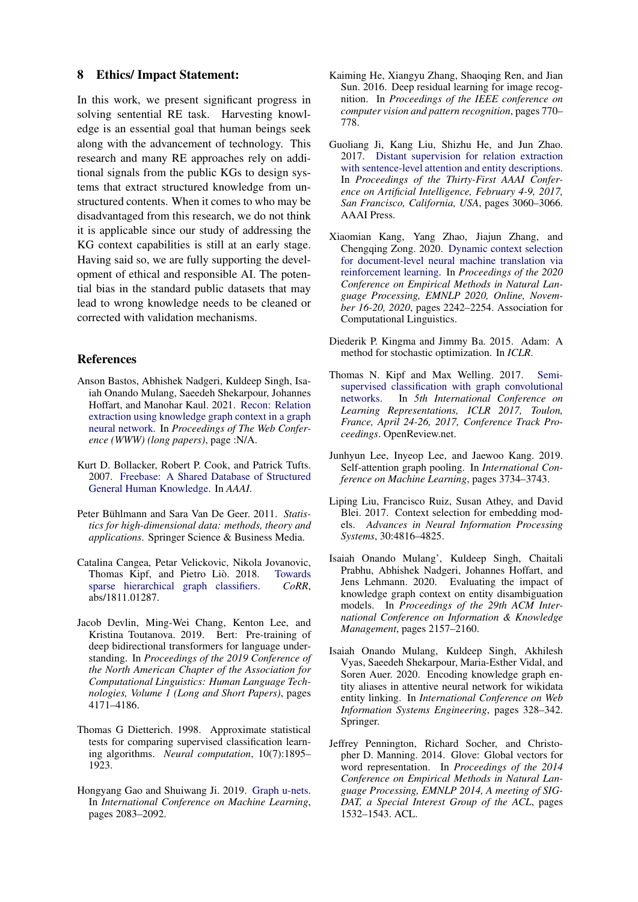# 8 Ethics/ Impact Statement:

In this work, we present significant progress in solving sentential RE task. Harvesting knowledge is an essential goal that human beings seek along with the advancement of technology. This research and many RE approaches rely on additional signals from the public KGs to design systems that extract structured knowledge from unstructured contents. When it comes to who may be disadvantaged from this research, we do not think it is applicable since our study of addressing the KG context capabilities is still at an early stage. Having said so, we are fully supporting the development of ethical and responsible AI. The potential bias in the standard public datasets that may lead to wrong knowledge needs to be cleaned or corrected with validation mechanisms.

# References

- <span id="page-9-0"></span>Anson Bastos, Abhishek Nadgeri, Kuldeep Singh, Isaiah Onando Mulang, Saeedeh Shekarpour, Johannes Hoffart, and Manohar Kaul. 2021. [Recon: Relation](https://arxiv.org/abs/2009.08694) [extraction using knowledge graph context in a graph](https://arxiv.org/abs/2009.08694) [neural network.](https://arxiv.org/abs/2009.08694) In *Proceedings of The Web Conference (WWW) (long papers)*, page :N/A.
- <span id="page-9-8"></span>Kurt D. Bollacker, Robert P. Cook, and Patrick Tufts. 2007. [Freebase: A Shared Database of Structured](http://www.aaai.org/Library/AAAI/2007/aaai07-355.php) [General Human Knowledge.](http://www.aaai.org/Library/AAAI/2007/aaai07-355.php) In *AAAI*.
- <span id="page-9-11"></span>Peter Bühlmann and Sara Van De Geer. 2011. Statis*tics for high-dimensional data: methods, theory and applications*. Springer Science & Business Media.
- <span id="page-9-3"></span>Catalina Cangea, Petar Velickovic, Nikola Jovanovic, Thomas Kipf, and Pietro Liò. 2018. [Towards](http://arxiv.org/abs/1811.01287) [sparse hierarchical graph classifiers.](http://arxiv.org/abs/1811.01287) *CoRR*, abs/1811.01287.
- <span id="page-9-9"></span>Jacob Devlin, Ming-Wei Chang, Kenton Lee, and Kristina Toutanova. 2019. Bert: Pre-training of deep bidirectional transformers for language understanding. In *Proceedings of the 2019 Conference of the North American Chapter of the Association for Computational Linguistics: Human Language Technologies, Volume 1 (Long and Short Papers)*, pages 4171–4186.
- <span id="page-9-14"></span>Thomas G Dietterich. 1998. Approximate statistical tests for comparing supervised classification learning algorithms. *Neural computation*, 10(7):1895– 1923.
- <span id="page-9-4"></span>Hongyang Gao and Shuiwang Ji. 2019. [Graph u-nets.](http://proceedings.mlr.press/v97/gao19a.html) In *International Conference on Machine Learning*, pages 2083–2092.
- <span id="page-9-12"></span>Kaiming He, Xiangyu Zhang, Shaoqing Ren, and Jian Sun. 2016. Deep residual learning for image recognition. In *Proceedings of the IEEE conference on computer vision and pattern recognition*, pages 770– 778.
- <span id="page-9-1"></span>Guoliang Ji, Kang Liu, Shizhu He, and Jun Zhao. 2017. [Distant supervision for relation extraction](http://aaai.org/ocs/index.php/AAAI/AAAI17/paper/view/14491) [with sentence-level attention and entity descriptions.](http://aaai.org/ocs/index.php/AAAI/AAAI17/paper/view/14491) In *Proceedings of the Thirty-First AAAI Conference on Artificial Intelligence, February 4-9, 2017, San Francisco, California, USA*, pages 3060–3066. AAAI Press.
- <span id="page-9-7"></span>Xiaomian Kang, Yang Zhao, Jiajun Zhang, and Chengqing Zong. 2020. [Dynamic context selection](https://www.aclweb.org/anthology/2020.emnlp-main.175/) [for document-level neural machine translation via](https://www.aclweb.org/anthology/2020.emnlp-main.175/) [reinforcement learning.](https://www.aclweb.org/anthology/2020.emnlp-main.175/) In *Proceedings of the 2020 Conference on Empirical Methods in Natural Language Processing, EMNLP 2020, Online, November 16-20, 2020*, pages 2242–2254. Association for Computational Linguistics.
- <span id="page-9-13"></span>Diederik P. Kingma and Jimmy Ba. 2015. Adam: A method for stochastic optimization. In *ICLR*.
- <span id="page-9-2"></span>Thomas N. Kipf and Max Welling. 2017. [Semi](https://openreview.net/forum?id=SJU4ayYgl)[supervised classification with graph convolutional](https://openreview.net/forum?id=SJU4ayYgl) [networks.](https://openreview.net/forum?id=SJU4ayYgl) In *5th International Conference on Learning Representations, ICLR 2017, Toulon, France, April 24-26, 2017, Conference Track Proceedings*. OpenReview.net.
- <span id="page-9-5"></span>Junhyun Lee, Inyeop Lee, and Jaewoo Kang. 2019. Self-attention graph pooling. In *International Conference on Machine Learning*, pages 3734–3743.
- <span id="page-9-6"></span>Liping Liu, Francisco Ruiz, Susan Athey, and David Blei. 2017. Context selection for embedding models. *Advances in Neural Information Processing Systems*, 30:4816–4825.
- <span id="page-9-15"></span>Isaiah Onando Mulang', Kuldeep Singh, Chaitali Prabhu, Abhishek Nadgeri, Johannes Hoffart, and Jens Lehmann. 2020. Evaluating the impact of knowledge graph context on entity disambiguation models. In *Proceedings of the 29th ACM International Conference on Information & Knowledge Management*, pages 2157–2160.
- <span id="page-9-16"></span>Isaiah Onando Mulang, Kuldeep Singh, Akhilesh Vyas, Saeedeh Shekarpour, Maria-Esther Vidal, and Soren Auer. 2020. Encoding knowledge graph entity aliases in attentive neural network for wikidata entity linking. In *International Conference on Web Information Systems Engineering*, pages 328–342. Springer.
- <span id="page-9-10"></span>Jeffrey Pennington, Richard Socher, and Christopher D. Manning. 2014. Glove: Global vectors for word representation. In *Proceedings of the 2014 Conference on Empirical Methods in Natural Language Processing, EMNLP 2014, A meeting of SIG-DAT, a Special Interest Group of the ACL*, pages 1532–1543. ACL.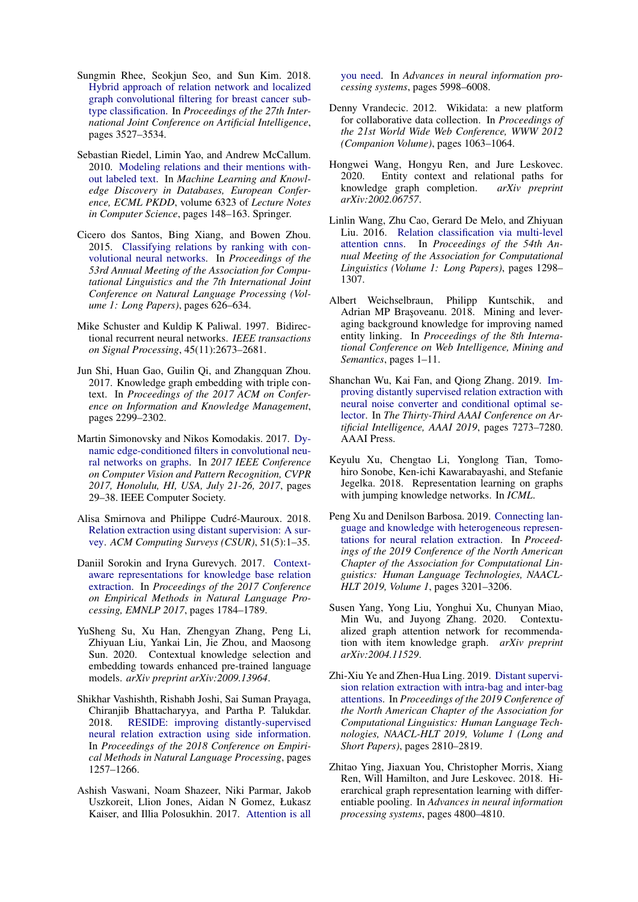- <span id="page-10-11"></span>Sungmin Rhee, Seokjun Seo, and Sun Kim. 2018. [Hybrid approach of relation network and localized](https://doi.org/10.24963/ijcai.2018/490) [graph convolutional filtering for breast cancer sub](https://doi.org/10.24963/ijcai.2018/490)[type classification.](https://doi.org/10.24963/ijcai.2018/490) In *Proceedings of the 27th International Joint Conference on Artificial Intelligence*, pages 3527–3534.
- <span id="page-10-2"></span>Sebastian Riedel, Limin Yao, and Andrew McCallum. 2010. [Modeling relations and their mentions with](https://doi.org/10.1007/978-3-642-15939-8_10)[out labeled text.](https://doi.org/10.1007/978-3-642-15939-8_10) In *Machine Learning and Knowledge Discovery in Databases, European Conference, ECML PKDD*, volume 6323 of *Lecture Notes in Computer Science*, pages 148–163. Springer.
- <span id="page-10-7"></span>Cicero dos Santos, Bing Xiang, and Bowen Zhou. 2015. [Classifying relations by ranking with con](https://doi.org/10.3115/v1/p15-1061)[volutional neural networks.](https://doi.org/10.3115/v1/p15-1061) In *Proceedings of the 53rd Annual Meeting of the Association for Computational Linguistics and the 7th International Joint Conference on Natural Language Processing (Volume 1: Long Papers)*, pages 626–634.
- <span id="page-10-14"></span>Mike Schuster and Kuldip K Paliwal. 1997. Bidirectional recurrent neural networks. *IEEE transactions on Signal Processing*, 45(11):2673–2681.
- <span id="page-10-19"></span>Jun Shi, Huan Gao, Guilin Qi, and Zhangquan Zhou. 2017. Knowledge graph embedding with triple context. In *Proceedings of the 2017 ACM on Conference on Information and Knowledge Management*, pages 2299–2302.
- <span id="page-10-17"></span>Martin Simonovsky and Nikos Komodakis. 2017. [Dy](https://doi.org/10.1109/CVPR.2017.11)[namic edge-conditioned filters in convolutional neu](https://doi.org/10.1109/CVPR.2017.11)[ral networks on graphs.](https://doi.org/10.1109/CVPR.2017.11) In *2017 IEEE Conference on Computer Vision and Pattern Recognition, CVPR 2017, Honolulu, HI, USA, July 21-26, 2017*, pages 29–38. IEEE Computer Society.
- <span id="page-10-9"></span>Alisa Smirnova and Philippe Cudré-Mauroux. 2018. [Relation extraction using distant supervision: A sur](https://doi.org/10.1145/3241741)[vey.](https://doi.org/10.1145/3241741) *ACM Computing Surveys (CSUR)*, 51(5):1–35.
- <span id="page-10-1"></span>Daniil Sorokin and Iryna Gurevych. 2017. [Context](https://doi.org/10.18653/v1/d17-1188)[aware representations for knowledge base relation](https://doi.org/10.18653/v1/d17-1188) [extraction.](https://doi.org/10.18653/v1/d17-1188) In *Proceedings of the 2017 Conference on Empirical Methods in Natural Language Processing, EMNLP 2017*, pages 1784–1789.
- <span id="page-10-12"></span>YuSheng Su, Xu Han, Zhengyan Zhang, Peng Li, Zhiyuan Liu, Yankai Lin, Jie Zhou, and Maosong Sun. 2020. Contextual knowledge selection and embedding towards enhanced pre-trained language models. *arXiv preprint arXiv:2009.13964*.
- <span id="page-10-3"></span>Shikhar Vashishth, Rishabh Joshi, Sai Suman Prayaga, Chiranjib Bhattacharyya, and Partha P. Talukdar. 2018. [RESIDE: improving distantly-supervised](https://doi.org/10.18653/v1/d18-1157) [neural relation extraction using side information.](https://doi.org/10.18653/v1/d18-1157) In *Proceedings of the 2018 Conference on Empirical Methods in Natural Language Processing*, pages 1257–1266.
- <span id="page-10-13"></span>Ashish Vaswani, Noam Shazeer, Niki Parmar, Jakob Uszkoreit, Llion Jones, Aidan N Gomez, Łukasz Kaiser, and Illia Polosukhin. 2017. [Attention is all](http://papers.nips.cc/paper/7181-attention-is-all-you-need)

[you need.](http://papers.nips.cc/paper/7181-attention-is-all-you-need) In *Advances in neural information processing systems*, pages 5998–6008.

- <span id="page-10-6"></span>Denny Vrandecic. 2012. Wikidata: a new platform for collaborative data collection. In *Proceedings of the 21st World Wide Web Conference, WWW 2012 (Companion Volume)*, pages 1063–1064.
- <span id="page-10-18"></span>Hongwei Wang, Hongyu Ren, and Jure Leskovec. 2020. Entity context and relational paths for knowledge graph completion. *arXiv preprint arXiv:2002.06757*.
- <span id="page-10-8"></span>Linlin Wang, Zhu Cao, Gerard De Melo, and Zhiyuan Liu. 2016. [Relation classification via multi-level](https://doi.org/10.18653/v1/p16-1123) [attention cnns.](https://doi.org/10.18653/v1/p16-1123) In *Proceedings of the 54th Annual Meeting of the Association for Computational Linguistics (Volume 1: Long Papers)*, pages 1298– 1307.
- <span id="page-10-16"></span>Albert Weichselbraun, Philipp Kuntschik, and Adrian MP Brasoveanu. 2018. Mining and leveraging background knowledge for improving named entity linking. In *Proceedings of the 8th International Conference on Web Intelligence, Mining and Semantics*, pages 1–11.
- <span id="page-10-5"></span>Shanchan Wu, Kai Fan, and Qiong Zhang. 2019. [Im](https://doi.org/10.1609/aaai.v33i01.33017273)[proving distantly supervised relation extraction with](https://doi.org/10.1609/aaai.v33i01.33017273) [neural noise converter and conditional optimal se](https://doi.org/10.1609/aaai.v33i01.33017273)[lector.](https://doi.org/10.1609/aaai.v33i01.33017273) In *The Thirty-Third AAAI Conference on Artificial Intelligence, AAAI 2019*, pages 7273–7280. AAAI Press.
- <span id="page-10-15"></span>Keyulu Xu, Chengtao Li, Yonglong Tian, Tomohiro Sonobe, Ken-ichi Kawarabayashi, and Stefanie Jegelka. 2018. Representation learning on graphs with jumping knowledge networks. In *ICML*.
- <span id="page-10-4"></span>Peng Xu and Denilson Barbosa. 2019. [Connecting lan](https://doi.org/10.18653/v1/n19-1323)[guage and knowledge with heterogeneous represen](https://doi.org/10.18653/v1/n19-1323)[tations for neural relation extraction.](https://doi.org/10.18653/v1/n19-1323) In *Proceedings of the 2019 Conference of the North American Chapter of the Association for Computational Linguistics: Human Language Technologies, NAACL-HLT 2019, Volume 1*, pages 3201–3206.
- <span id="page-10-20"></span>Susen Yang, Yong Liu, Yonghui Xu, Chunyan Miao, Min Wu, and Juyong Zhang. 2020. Contextualized graph attention network for recommendation with item knowledge graph. *arXiv preprint arXiv:2004.11529*.
- <span id="page-10-0"></span>Zhi-Xiu Ye and Zhen-Hua Ling. 2019. [Distant supervi](https://doi.org/10.18653/v1/n19-1288)[sion relation extraction with intra-bag and inter-bag](https://doi.org/10.18653/v1/n19-1288) [attentions.](https://doi.org/10.18653/v1/n19-1288) In *Proceedings of the 2019 Conference of the North American Chapter of the Association for Computational Linguistics: Human Language Technologies, NAACL-HLT 2019, Volume 1 (Long and Short Papers)*, pages 2810–2819.
- <span id="page-10-10"></span>Zhitao Ying, Jiaxuan You, Christopher Morris, Xiang Ren, Will Hamilton, and Jure Leskovec. 2018. Hierarchical graph representation learning with differentiable pooling. In *Advances in neural information processing systems*, pages 4800–4810.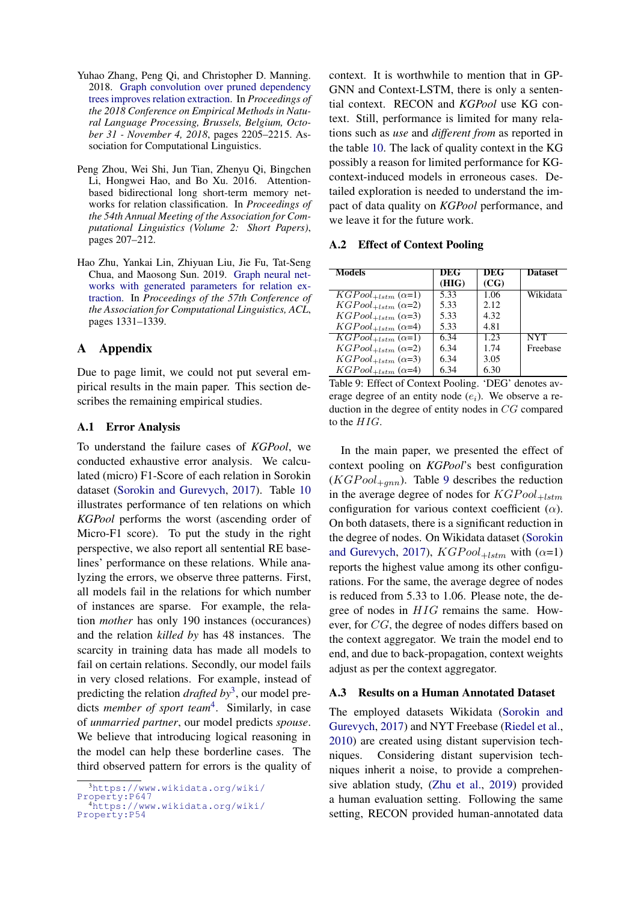- <span id="page-11-2"></span>Yuhao Zhang, Peng Qi, and Christopher D. Manning. 2018. [Graph convolution over pruned dependency](https://doi.org/10.18653/v1/d18-1244) [trees improves relation extraction.](https://doi.org/10.18653/v1/d18-1244) In *Proceedings of the 2018 Conference on Empirical Methods in Natural Language Processing, Brussels, Belgium, October 31 - November 4, 2018*, pages 2205–2215. Association for Computational Linguistics.
- <span id="page-11-1"></span>Peng Zhou, Wei Shi, Jun Tian, Zhenyu Qi, Bingchen Li, Hongwei Hao, and Bo Xu. 2016. Attentionbased bidirectional long short-term memory networks for relation classification. In *Proceedings of the 54th Annual Meeting of the Association for Computational Linguistics (Volume 2: Short Papers)*, pages 207–212.
- <span id="page-11-0"></span>Hao Zhu, Yankai Lin, Zhiyuan Liu, Jie Fu, Tat-Seng Chua, and Maosong Sun. 2019. [Graph neural net](https://doi.org/10.18653/v1/p19-1128)[works with generated parameters for relation ex](https://doi.org/10.18653/v1/p19-1128)[traction.](https://doi.org/10.18653/v1/p19-1128) In *Proceedings of the 57th Conference of the Association for Computational Linguistics, ACL*, pages 1331–1339.

# A Appendix

Due to page limit, we could not put several empirical results in the main paper. This section describes the remaining empirical studies.

# A.1 Error Analysis

To understand the failure cases of *KGPool*, we conducted exhaustive error analysis. We calculated (micro) F1-Score of each relation in Sorokin dataset [\(Sorokin and Gurevych,](#page-10-1) [2017\)](#page-10-1). Table [10](#page-12-0) illustrates performance of ten relations on which *KGPool* performs the worst (ascending order of Micro-F1 score). To put the study in the right perspective, we also report all sentential RE baselines' performance on these relations. While analyzing the errors, we observe three patterns. First, all models fail in the relations for which number of instances are sparse. For example, the relation *mother* has only 190 instances (occurances) and the relation *killed by* has 48 instances. The scarcity in training data has made all models to fail on certain relations. Secondly, our model fails in very closed relations. For example, instead of predicting the relation *drafted by*[3](#page-11-3) , our model predicts *member of sport team*[4](#page-11-4) . Similarly, in case of *unmarried partner*, our model predicts *spouse*. We believe that introducing logical reasoning in the model can help these borderline cases. The third observed pattern for errors is the quality of context. It is worthwhile to mention that in GP-GNN and Context-LSTM, there is only a sentential context. RECON and *KGPool* use KG context. Still, performance is limited for many relations such as *use* and *different from* as reported in the table [10.](#page-12-0) The lack of quality context in the KG possibly a reason for limited performance for KGcontext-induced models in erroneous cases. Detailed exploration is needed to understand the impact of data quality on *KGPool* performance, and we leave it for the future work.

#### A.2 Effect of Context Pooling

<span id="page-11-5"></span>

| <b>Models</b>                                        | DEG   | DEG  | <b>Dataset</b> |
|------------------------------------------------------|-------|------|----------------|
|                                                      | (HIG) | (CG) |                |
| $KGPool_{+lstm} (\alpha=1)$                          | 5.33  | 1.06 | Wikidata       |
| $KGPool_{+lstm} (\alpha=2)$                          | 5.33  | 2.12 |                |
| $KGPool_{+lstm} (\alpha=3)$                          | 5.33  | 4.32 |                |
| $KGPool_{+lstm} (\alpha=4)$                          | 5.33  | 4.81 |                |
| $\overline{KGP}$ ool <sub>+lstm</sub> ( $\alpha$ =1) | 6.34  | 1.23 | <b>NYT</b>     |
| $KGPool_{+lstm} (\alpha=2)$                          | 6.34  | 1.74 | Freebase       |
| $KGPool_{+lstm} (\alpha=3)$                          | 6.34  | 3.05 |                |
| $KGPool_{+lstm} (\alpha=4)$                          | 6.34  | 6.30 |                |

Table 9: Effect of Context Pooling. 'DEG' denotes average degree of an entity node  $(e_i)$ . We observe a reduction in the degree of entity nodes in CG compared to the HIG.

In the main paper, we presented the effect of context pooling on *KGPool*'s best configuration  $(KGPool_{+qnn})$ . Table [9](#page-11-5) describes the reduction in the average degree of nodes for  $KGPool_{+lstm}$ configuration for various context coefficient  $(\alpha)$ . On both datasets, there is a significant reduction in the degree of nodes. On Wikidata dataset [\(Sorokin](#page-10-1) [and Gurevych,](#page-10-1) [2017\)](#page-10-1),  $KGPool_{+lstm}$  with  $(\alpha=1)$ reports the highest value among its other configurations. For the same, the average degree of nodes is reduced from 5.33 to 1.06. Please note, the degree of nodes in HIG remains the same. However, for CG, the degree of nodes differs based on the context aggregator. We train the model end to end, and due to back-propagation, context weights adjust as per the context aggregator.

#### A.3 Results on a Human Annotated Dataset

The employed datasets Wikidata [\(Sorokin and](#page-10-1) [Gurevych,](#page-10-1) [2017\)](#page-10-1) and NYT Freebase [\(Riedel et al.,](#page-10-2) [2010\)](#page-10-2) are created using distant supervision techniques. Considering distant supervision techniques inherit a noise, to provide a comprehensive ablation study, [\(Zhu et al.,](#page-11-0) [2019\)](#page-11-0) provided a human evaluation setting. Following the same setting, RECON provided human-annotated data

<span id="page-11-3"></span><sup>3</sup>[https://www.wikidata.org/wiki/](https://www.wikidata.org/wiki/Property:P647)

[Property:P647](https://www.wikidata.org/wiki/Property:P647)

<span id="page-11-4"></span><sup>4</sup>[https://www.wikidata.org/wiki/](https://www.wikidata.org/wiki/Property:P54) [Property:P54](https://www.wikidata.org/wiki/Property:P54)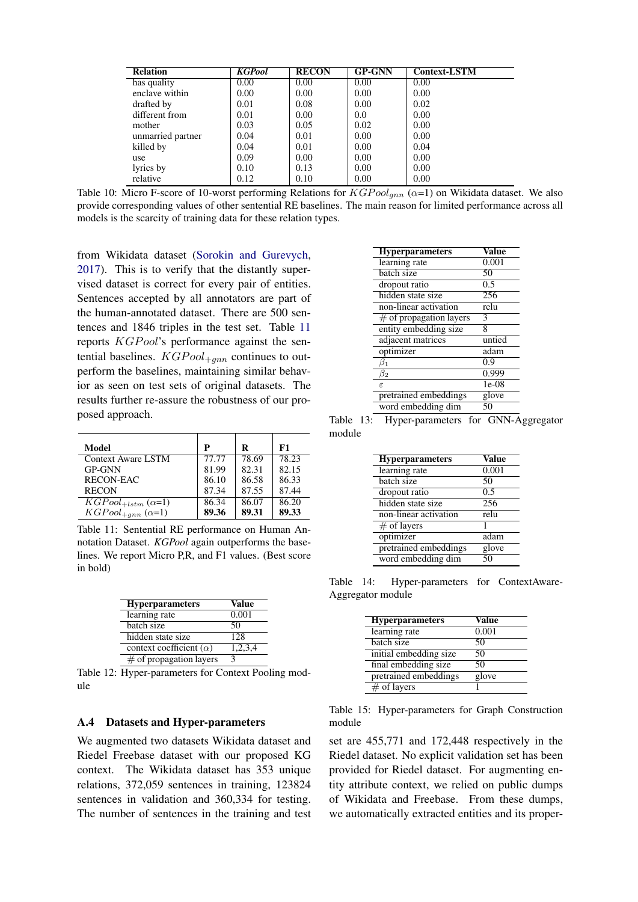<span id="page-12-0"></span>

| <b>Relation</b>   | <b>KGPool</b> | <b>RECON</b> | <b>GP-GNN</b> | <b>Context-LSTM</b> |
|-------------------|---------------|--------------|---------------|---------------------|
| has quality       | 0.00          | 0.00         | 0.00          | 0.00                |
| enclave within    | 0.00          | 0.00         | 0.00          | 0.00                |
| drafted by        | 0.01          | 0.08         | 0.00          | 0.02                |
| different from    | 0.01          | 0.00         | 0.0           | 0.00                |
| mother            | 0.03          | 0.05         | 0.02          | 0.00                |
| unmarried partner | 0.04          | 0.01         | 0.00          | 0.00                |
| killed by         | 0.04          | 0.01         | 0.00          | 0.04                |
| use               | 0.09          | 0.00         | 0.00          | 0.00                |
| lyrics by         | 0.10          | 0.13         | 0.00          | 0.00                |
| relative          | 0.12          | 0.10         | 0.00          | 0.00                |

Table 10: Micro F-score of 10-worst performing Relations for  $KGPool_{mn}$  ( $\alpha=1$ ) on Wikidata dataset. We also provide corresponding values of other sentential RE baselines. The main reason for limited performance across all models is the scarcity of training data for these relation types.

from Wikidata dataset [\(Sorokin and Gurevych,](#page-10-1) [2017\)](#page-10-1). This is to verify that the distantly supervised dataset is correct for every pair of entities. Sentences accepted by all annotators are part of the human-annotated dataset. There are 500 sentences and 1846 triples in the test set. Table [11](#page-12-1) reports KGP ool's performance against the sentential baselines.  $KGPool_{+qnn}$  continues to outperform the baselines, maintaining similar behavior as seen on test sets of original datasets. The results further re-assure the robustness of our proposed approach.

<span id="page-12-1"></span>

| Model                                                | P     | R     | F1    |
|------------------------------------------------------|-------|-------|-------|
| Context Aware LSTM                                   | 77.77 | 78.69 | 78.23 |
| <b>GP-GNN</b>                                        | 81.99 | 82.31 | 82.15 |
| RECON-EAC                                            | 86.10 | 86.58 | 86.33 |
| <b>RECON</b>                                         | 87.34 | 87.55 | 87.44 |
| $\overline{KGP}$ ool <sub>+lstm</sub> ( $\alpha$ =1) | 86.34 | 86.07 | 86.20 |
| $KGPool_{+gnn} (\alpha=1)$                           | 89.36 | 89.31 | 89.33 |

Table 11: Sentential RE performance on Human Annotation Dataset. *KGPool* again outperforms the baselines. We report Micro P,R, and F1 values. (Best score in bold)

<span id="page-12-4"></span>

| <b>Hyperparameters</b>         | Value   |
|--------------------------------|---------|
| learning rate                  | 0.001   |
| batch size                     | 50      |
| hidden state size              | 128     |
| context coefficient $(\alpha)$ | 1,2,3,4 |
| $\#$ of propagation layers     |         |

Table 12: Hyper-parameters for Context Pooling module

#### A.4 Datasets and Hyper-parameters

We augmented two datasets Wikidata dataset and Riedel Freebase dataset with our proposed KG context. The Wikidata dataset has 353 unique relations, 372,059 sentences in training, 123824 sentences in validation and 360,334 for testing. The number of sentences in the training and test

| <b>Hyperparameters</b>     | Value   |
|----------------------------|---------|
| learning rate              | 0.001   |
| batch size                 | 50      |
| dropout ratio              | 0.5     |
| hidden state size          | 256     |
| non-linear activation      | relu    |
| $\#$ of propagation layers | 3       |
| entity embedding size      | 8       |
| adjacent matrices          | untied  |
| optimizer                  | adam    |
| B1                         | 0.9     |
| $\beta_2$                  | 0.999   |
| F.                         | $1e-08$ |
| pretrained embeddings      | glove   |
| word embedding dim         |         |

<span id="page-12-2"></span>Table 13: Hyper-parameters for GNN-Aggregator module

| <b>Hyperparameters</b> | Value |
|------------------------|-------|
| learning rate          | 0.001 |
| batch size             | 50    |
| dropout ratio          | 0.5   |
| hidden state size      | 256   |
| non-linear activation  | relu  |
| $\#$ of layers         |       |
| optimizer              | adam  |
| pretrained embeddings  | glove |
| word embedding dim     | 50    |

<span id="page-12-3"></span>Table 14: Hyper-parameters for ContextAware-Aggregator module

| <b>Hyperparameters</b> | Value |
|------------------------|-------|
| learning rate          | 0.001 |
| batch size             | 50    |
| initial embedding size | 50    |
| final embedding size   | 50    |
| pretrained embeddings  | glove |
| $#$ of layers          |       |

Table 15: Hyper-parameters for Graph Construction module

set are 455,771 and 172,448 respectively in the Riedel dataset. No explicit validation set has been provided for Riedel dataset. For augmenting entity attribute context, we relied on public dumps of Wikidata and Freebase. From these dumps, we automatically extracted entities and its proper